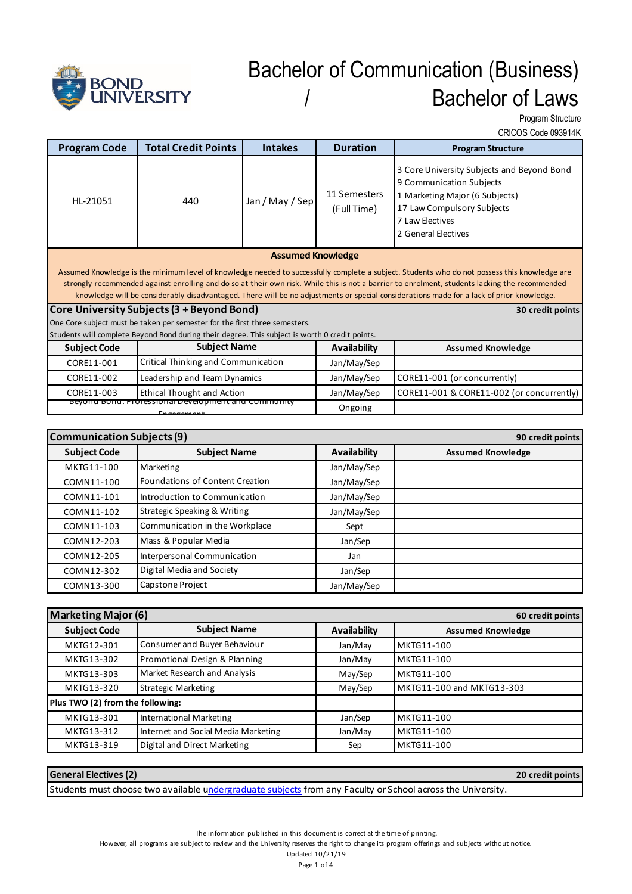

# Bachelor of Communication (Business) / Bachelor of Laws

Program Structure

CRICOS Code 093914K

| <b>Program Code</b>                                                                                                                      | <b>Total Credit Points</b>                                                                                                                     | <b>Intakes</b>  | <b>Duration</b>             | <b>Program Structure</b>                                                                                                                                                         |
|------------------------------------------------------------------------------------------------------------------------------------------|------------------------------------------------------------------------------------------------------------------------------------------------|-----------------|-----------------------------|----------------------------------------------------------------------------------------------------------------------------------------------------------------------------------|
| HL-21051                                                                                                                                 | 440                                                                                                                                            | Jan / May / Sep | 11 Semesters<br>(Full Time) | 3 Core University Subjects and Beyond Bond<br>9 Communication Subjects<br>1 Marketing Major (6 Subjects)<br>17 Law Compulsory Subjects<br>7 Law Electives<br>2 General Electives |
| <b>Assumed Knowledge</b>                                                                                                                 |                                                                                                                                                |                 |                             |                                                                                                                                                                                  |
|                                                                                                                                          | Assumed Knowledge is the minimum level of knowledge needed to successfully complete a subject. Students who do not possess this knowledge are  |                 |                             |                                                                                                                                                                                  |
|                                                                                                                                          | strongly recommended against enrolling and do so at their own risk. While this is not a barrier to enrolment, students lacking the recommended |                 |                             |                                                                                                                                                                                  |
| knowledge will be considerably disadvantaged. There will be no adjustments or special considerations made for a lack of prior knowledge. |                                                                                                                                                |                 |                             |                                                                                                                                                                                  |
| Core University Subjects (3 + Beyond Bond)<br>30 credit points                                                                           |                                                                                                                                                |                 |                             |                                                                                                                                                                                  |
| One Core subject must be taken per semester for the first three semesters.                                                               |                                                                                                                                                |                 |                             |                                                                                                                                                                                  |
| Students will complete Beyond Bond during their degree. This subject is worth 0 credit points.                                           |                                                                                                                                                |                 |                             |                                                                                                                                                                                  |
| <b>Subject Code</b>                                                                                                                      | <b>Subject Name</b>                                                                                                                            |                 | Availability                | <b>Assumed Knowledge</b>                                                                                                                                                         |
| CORE11-001                                                                                                                               | Critical Thinking and Communication                                                                                                            |                 | Jan/May/Sep                 |                                                                                                                                                                                  |
| CORE11-002                                                                                                                               | Leadership and Team Dynamics                                                                                                                   |                 | Jan/May/Sep                 | CORE11-001 (or concurrently)                                                                                                                                                     |
| CORE11-003                                                                                                                               | <b>Ethical Thought and Action</b>                                                                                                              |                 | Jan/May/Sep                 | CORE11-001 & CORE11-002 (or concurrently)                                                                                                                                        |
| <u>Beyong Bong: Professional Development and Community</u><br>$En$ anamont                                                               |                                                                                                                                                | Ongoing         |                             |                                                                                                                                                                                  |

| <b>Communication Subjects (9)</b> |                                 |                     | 90 credit points         |
|-----------------------------------|---------------------------------|---------------------|--------------------------|
| <b>Subject Code</b>               | <b>Subject Name</b>             | <b>Availability</b> | <b>Assumed Knowledge</b> |
| MKTG11-100                        | Marketing                       | Jan/May/Sep         |                          |
| COMN11-100                        | Foundations of Content Creation | Jan/May/Sep         |                          |
| COMN11-101                        | Introduction to Communication   | Jan/May/Sep         |                          |
| COMN11-102                        | Strategic Speaking & Writing    | Jan/May/Sep         |                          |
| COMN11-103                        | Communication in the Workplace  | Sept                |                          |
| COMN12-203                        | Mass & Popular Media            | Jan/Sep             |                          |
| COMN12-205                        | Interpersonal Communication     | Jan                 |                          |
| COMN12-302                        | Digital Media and Society       | Jan/Sep             |                          |
| COMN13-300                        | <b>Capstone Project</b>         | Jan/May/Sep         |                          |

| <b>Marketing Major (6)</b><br>60 credit points |                                     |              |                           |
|------------------------------------------------|-------------------------------------|--------------|---------------------------|
| <b>Subject Code</b>                            | <b>Subject Name</b>                 | Availability | <b>Assumed Knowledge</b>  |
| MKTG12-301                                     | Consumer and Buyer Behaviour        | Jan/May      | MKTG11-100                |
| MKTG13-302                                     | Promotional Design & Planning       | Jan/May      | MKTG11-100                |
| MKTG13-303                                     | Market Research and Analysis        | May/Sep      | MKTG11-100                |
| MKTG13-320                                     | <b>Strategic Marketing</b>          | May/Sep      | MKTG11-100 and MKTG13-303 |
| Plus TWO (2) from the following:               |                                     |              |                           |
| MKTG13-301                                     | International Marketing             | Jan/Sep      | MKTG11-100                |
| MKTG13-312                                     | Internet and Social Media Marketing | Jan/May      | MKTG11-100                |
| MKTG13-319                                     | Digital and Direct Marketing        | Sep          | MKTG11-100                |

| <b>General Electives (2)</b>                                                                                | 20 credit points |
|-------------------------------------------------------------------------------------------------------------|------------------|
| Students must choose two available undergraduate subjects from any Faculty or School across the University. |                  |

The information published in this document is correct at the time of printing.

However, all programs are subject to review and the University reserves the right to change its program offerings and subjects without notice.

Updated 10/21/19

Page 1 of 4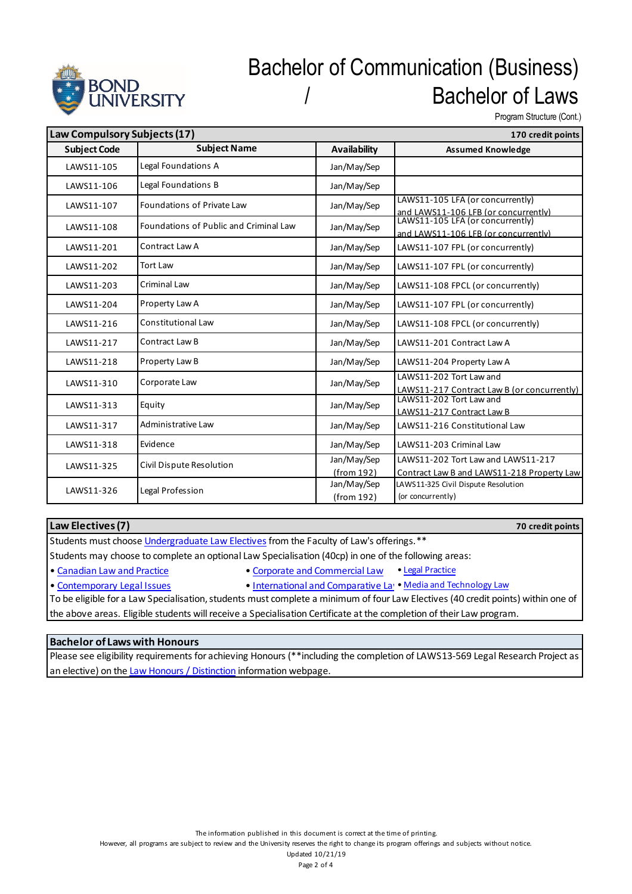

# Bachelor of Communication (Business) Bachelor of Laws

Program Structure (Cont.)

| Law Compulsory Subjects (17) |                                        | 170 credit points         |                                                                                  |
|------------------------------|----------------------------------------|---------------------------|----------------------------------------------------------------------------------|
| <b>Subject Code</b>          | <b>Subject Name</b>                    | <b>Availability</b>       | <b>Assumed Knowledge</b>                                                         |
| LAWS11-105                   | Legal Foundations A                    | Jan/May/Sep               |                                                                                  |
| LAWS11-106                   | Legal Foundations B                    | Jan/May/Sep               |                                                                                  |
| LAWS11-107                   | <b>Foundations of Private Law</b>      | Jan/May/Sep               | LAWS11-105 LFA (or concurrently)<br>and LAWS11-106 LFB (or concurrently)         |
| LAWS11-108                   | Foundations of Public and Criminal Law | Jan/May/Sep               | LAWS11-105 LFA (or concurrently)<br>and LAWS11-106 LFB (or concurrently)         |
| LAWS11-201                   | Contract Law A                         | Jan/May/Sep               | LAWS11-107 FPL (or concurrently)                                                 |
| LAWS11-202                   | Tort Law                               | Jan/May/Sep               | LAWS11-107 FPL (or concurrently)                                                 |
| LAWS11-203                   | Criminal Law                           | Jan/May/Sep               | LAWS11-108 FPCL (or concurrently)                                                |
| LAWS11-204                   | Property Law A                         | Jan/May/Sep               | LAWS11-107 FPL (or concurrently)                                                 |
| LAWS11-216                   | <b>Constitutional Law</b>              | Jan/May/Sep               | LAWS11-108 FPCL (or concurrently)                                                |
| LAWS11-217                   | Contract Law B                         | Jan/May/Sep               | LAWS11-201 Contract Law A                                                        |
| LAWS11-218                   | Property Law B                         | Jan/May/Sep               | LAWS11-204 Property Law A                                                        |
| LAWS11-310                   | Corporate Law                          | Jan/May/Sep               | LAWS11-202 Tort Law and<br>LAWS11-217 Contract Law B (or concurrently)           |
| LAWS11-313                   | Equity                                 | Jan/May/Sep               | LAWS11-202 Tort Law and<br>LAWS11-217 Contract Law B                             |
| LAWS11-317                   | Administrative Law                     | Jan/May/Sep               | LAWS11-216 Constitutional Law                                                    |
| LAWS11-318                   | Evidence                               | Jan/May/Sep               | LAWS11-203 Criminal Law                                                          |
| LAWS11-325                   | Civil Dispute Resolution               | Jan/May/Sep<br>(from 192) | LAWS11-202 Tort Law and LAWS11-217<br>Contract Law B and LAWS11-218 Property Law |
| LAWS11-326                   | Legal Profession                       | Jan/May/Sep<br>(from 192) | LAWS11-325 Civil Dispute Resolution<br>(or concurrently)                         |

#### **Law Electives (7)**

**70 credit points**

Students must choose Undergraduate Law Electives from the Faculty of Law's offerings.\*\*

Students may choose to complete an optional Law Specialisation (40cp) in one of the following areas:

• Canadian Law and Practice • Corporate and Commercial Law • Legal Practice

- 
- Contemporary Legal Issues International and Comparative Law Media and Technology Law

To be eligible for a Law Specialisation, students must complete a minimum of four Law Electives (40 credit points) within one of the above areas. Eligible students will receive a Specialisation Certificate at the completion of their Law program.

### **Bachelor of Laws with Honours**

Please see eligibility requirements for achieving Honours (\*\*including the completion of LAWS13-569 Legal Research Project as an elective) on the Law Honours / Distinction information webpage.

However, all programs are subject to review and the University reserves the right to change its program offerings and subjects without notice.

Updated 10/21/19 Page 2 of 4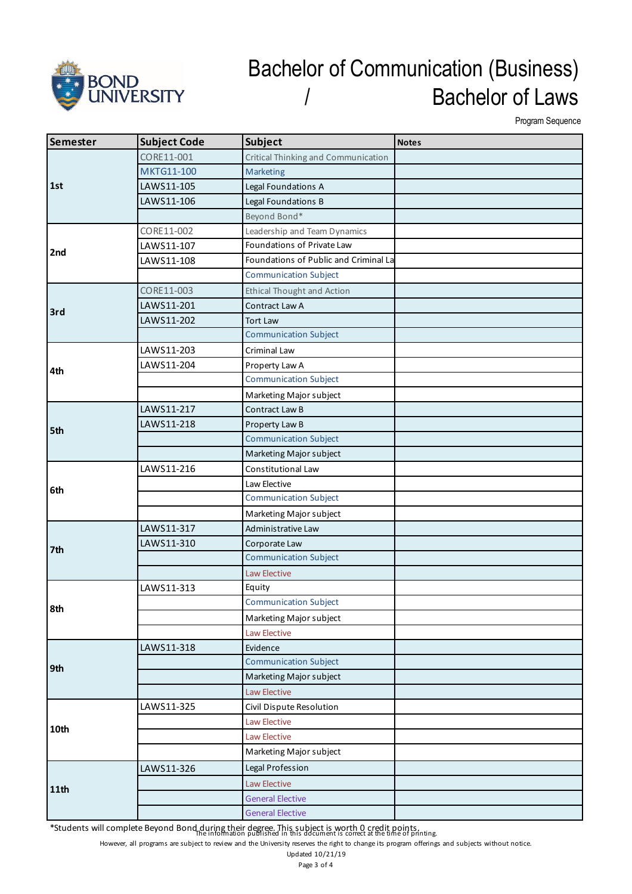

### Bachelor of Communication (Business) / Bachelor of Laws

Program Sequence

| Semester | <b>Subject Code</b> | <b>Subject</b>                             | <b>Notes</b> |
|----------|---------------------|--------------------------------------------|--------------|
| 1st      | CORE11-001          | <b>Critical Thinking and Communication</b> |              |
|          | MKTG11-100          | <b>Marketing</b>                           |              |
|          | LAWS11-105          | Legal Foundations A                        |              |
|          | LAWS11-106          | Legal Foundations B                        |              |
|          |                     | Beyond Bond*                               |              |
| 2nd      | CORE11-002          | Leadership and Team Dynamics               |              |
|          | LAWS11-107          | Foundations of Private Law                 |              |
|          | LAWS11-108          | Foundations of Public and Criminal La      |              |
|          |                     | <b>Communication Subject</b>               |              |
|          | CORE11-003          | <b>Ethical Thought and Action</b>          |              |
| 3rd      | LAWS11-201          | Contract Law A                             |              |
|          | LAWS11-202          | <b>Tort Law</b>                            |              |
|          |                     | <b>Communication Subject</b>               |              |
|          | LAWS11-203          | Criminal Law                               |              |
| 4th      | LAWS11-204          | Property Law A                             |              |
|          |                     | <b>Communication Subject</b>               |              |
|          |                     | Marketing Major subject                    |              |
|          | LAWS11-217          | Contract Law B                             |              |
|          | LAWS11-218          | Property Law B                             |              |
| 5th      |                     | <b>Communication Subject</b>               |              |
|          |                     | Marketing Major subject                    |              |
|          | LAWS11-216          | Constitutional Law                         |              |
|          |                     | Law Elective                               |              |
| 6th      |                     | <b>Communication Subject</b>               |              |
|          |                     | Marketing Major subject                    |              |
|          | LAWS11-317          | Administrative Law                         |              |
| 7th      | LAWS11-310          | Corporate Law                              |              |
|          |                     | <b>Communication Subject</b>               |              |
|          |                     | <b>Law Elective</b>                        |              |
|          | LAWS11-313          | Equity                                     |              |
| 8th      |                     | <b>Communication Subject</b>               |              |
|          |                     | Marketing Major subject                    |              |
|          |                     | <b>Law Elective</b>                        |              |
|          | LAWS11-318          | Evidence                                   |              |
|          |                     | <b>Communication Subject</b>               |              |
| 9th      |                     | Marketing Major subject                    |              |
|          |                     | <b>Law Elective</b>                        |              |
| 10th     | LAWS11-325          | Civil Dispute Resolution                   |              |
|          |                     | <b>Law Elective</b>                        |              |
|          |                     | <b>Law Elective</b>                        |              |
|          |                     | Marketing Major subject                    |              |
| 11th     | LAWS11-326          | Legal Profession                           |              |
|          |                     | <b>Law Elective</b>                        |              |
|          |                     | <b>General Elective</b>                    |              |
|          |                     | <b>General Elective</b>                    |              |

\*Students will complete Beyond Bond during their degree. This subject is worth 0 credit points.<br>\*Students will complete Beyond Bond during their degree. This subject is worth 0 credit pointing.

However, all programs are subject to review and the University reserves the right to change its program offerings and subjects without notice.

Updated 10/21/19